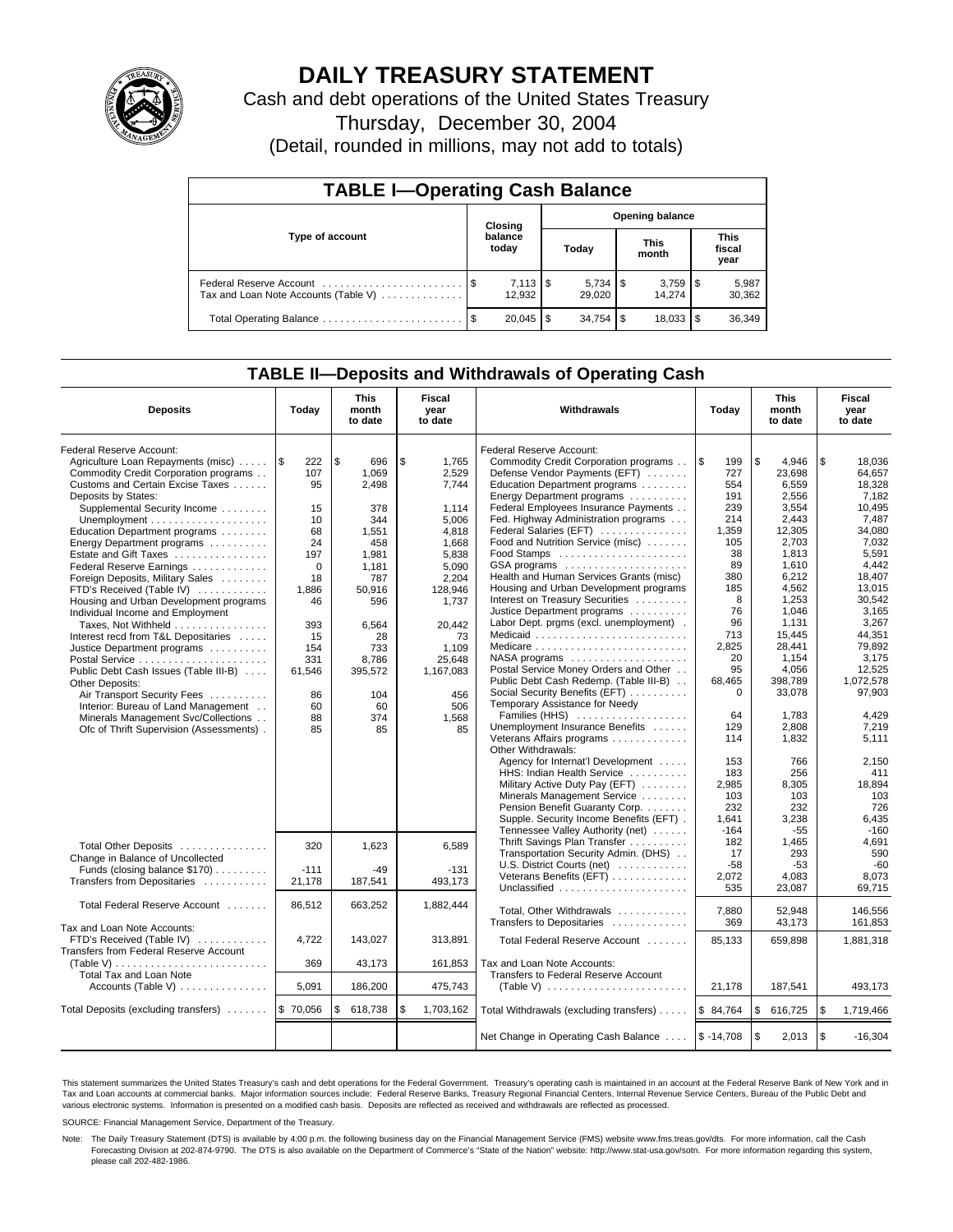

# **DAILY TREASURY STATEMENT**

Cash and debt operations of the United States Treasury

Thursday, December 30, 2004

(Detail, rounded in millions, may not add to totals)

| <b>TABLE I-Operating Cash Balance</b> |                                   |                              |      |             |  |                                 |                               |                 |  |  |
|---------------------------------------|-----------------------------------|------------------------------|------|-------------|--|---------------------------------|-------------------------------|-----------------|--|--|
|                                       | <b>Opening balance</b><br>Closing |                              |      |             |  |                                 |                               |                 |  |  |
| Type of account                       |                                   | balance<br>today             |      | Today       |  | <b>This</b><br>month            | <b>This</b><br>fiscal<br>year |                 |  |  |
| Tax and Loan Note Accounts (Table V)  |                                   | $7,113$ $\sqrt{5}$<br>12.932 |      | 29.020      |  | $3,759$ $\frac{1}{3}$<br>14.274 |                               | 5,987<br>30,362 |  |  |
| Total Operating Balance               | - \$                              | 20.045                       | l \$ | $34.754$ \$ |  | 18.033                          |                               | 36,349          |  |  |

### **TABLE II—Deposits and Withdrawals of Operating Cash**

| Federal Reserve Account:<br>Federal Reserve Account:<br>l\$<br>\$<br>\$<br>Agriculture Loan Repayments (misc)<br>l \$<br>222<br>696<br>1.765<br><b>S</b><br>\$<br>Commodity Credit Corporation programs<br>199<br>4,946<br>18,036<br>107<br>1,069<br>Commodity Credit Corporation programs<br>2,529<br>23,698<br>Defense Vendor Payments (EFT)<br>727<br>64,657<br>Customs and Certain Excise Taxes<br>2,498<br>7,744<br>Education Department programs<br>554<br>6,559<br>18,328<br>95<br>Deposits by States:<br>Energy Department programs<br>191<br>2.556<br>7.182<br>Federal Employees Insurance Payments<br>Supplemental Security Income<br>378<br>1.114<br>239<br>3,554<br>10.495<br>15<br>10<br>344<br>Fed. Highway Administration programs<br>7.487<br>Unemployment $\dots\dots\dots\dots\dots\dots\dots$<br>5.006<br>214<br>2.443<br>68<br>4,818<br>Federal Salaries (EFT)<br>1,359<br>12,305<br>34,080<br>Education Department programs<br>1,551<br>Food and Nutrition Service (misc)<br>2,703<br>7,032<br>24<br>458<br>1.668<br>105<br>Energy Department programs<br>5.591<br>Estate and Gift Taxes<br>5.838<br>38<br>1.813<br>197<br>1,981<br>GSA programs<br>4.442<br>89<br>1,610<br>Federal Reserve Earnings<br>$\Omega$<br>1,181<br>5,090<br>Health and Human Services Grants (misc)<br>380<br>6,212<br>18,407<br>2,204<br>Foreign Deposits, Military Sales<br>18<br>787<br>Housing and Urban Development programs<br>185<br>4,562<br>13,015<br>FTD's Received (Table IV)<br>1,886<br>50,916<br>128,946<br>Interest on Treasury Securities<br>8<br>1,253<br>30,542<br>Housing and Urban Development programs<br>596<br>1,737<br>46<br>Justice Department programs<br>76<br>1.046<br>3,165<br>Individual Income and Employment<br>96<br>3.267<br>Labor Dept. prgms (excl. unemployment).<br>1.131<br>Taxes, Not Withheld<br>393<br>20.442<br>6.564<br>44.351<br>Medicaid<br>713<br>15,445<br>Interest recd from T&L Depositaries<br>15<br>28<br>73<br>2,825<br>79.892<br>Medicare<br>28,441<br>Justice Department programs<br>154<br>733<br>1.109<br>$NASA$ programs $\ldots \ldots \ldots \ldots \ldots$<br>20<br>1.154<br>3.175<br>331<br>25,648<br>8,786<br>Postal Service Money Orders and Other<br>95<br>12.525<br>4.056<br>Public Debt Cash Issues (Table III-B)<br>395,572<br>1,167,083<br>61,546<br>Public Debt Cash Redemp. (Table III-B)<br>68,465<br>398,789<br>1.072.578<br>Other Deposits:<br>Social Security Benefits (EFT)<br>$\mathbf 0$<br>33,078<br>97,903<br>Air Transport Security Fees<br>86<br>104<br>456<br>Temporary Assistance for Needy<br>Interior: Bureau of Land Management<br>60<br>60<br>506<br>Families (HHS)<br>64<br>1,783<br>4,429<br>Minerals Management Svc/Collections<br>88<br>374<br>1.568<br>Unemployment Insurance Benefits<br>129<br>2,808<br>7,219<br>Ofc of Thrift Supervision (Assessments).<br>85<br>85<br>85<br>Veterans Affairs programs<br>5.111<br>114<br>1,832<br>Other Withdrawals:<br>Agency for Internat'l Development<br>2,150<br>153<br>766<br>HHS: Indian Health Service<br>183<br>256<br>411<br>Military Active Duty Pay (EFT)<br>18.894<br>2.985<br>8.305<br>Minerals Management Service<br>103<br>103<br>103<br>Pension Benefit Guaranty Corp.<br>726<br>232<br>232<br>Supple. Security Income Benefits (EFT).<br>1,641<br>3,238<br>6,435<br>Tennessee Valley Authority (net)<br>$-164$<br>$-55$<br>$-160$<br>4,691<br>Thrift Savings Plan Transfer<br>182<br>1,465<br>320<br>6.589<br>Total Other Deposits<br>1.623<br>Transportation Security Admin. (DHS)<br>17<br>293<br>590<br>Change in Balance of Uncollected<br>U.S. District Courts (net)<br>$-58$<br>$-53$<br>$-60$<br>Funds (closing balance \$170)<br>$-111$<br>$-131$<br>$-49$<br>Veterans Benefits (EFT)<br>2,072<br>4,083<br>8.073<br>Transfers from Depositaries<br>21,178<br>187,541<br>493.173<br>Unclassified<br>535<br>23,087<br>69.715<br>Total Federal Reserve Account<br>86,512<br>663,252<br>1,882,444<br>Total, Other Withdrawals<br>7,880<br>52,948<br>146,556<br>Transfers to Depositaries<br>369<br>43,173<br>161.853<br>Tax and Loan Note Accounts:<br>FTD's Received (Table IV)<br>4,722<br>143.027<br>313.891<br>Total Federal Reserve Account<br>85.133<br>659.898<br>1.881.318<br>Transfers from Federal Reserve Account<br>(Table V)<br>369<br>43,173<br>161,853<br>Tax and Loan Note Accounts:<br>Total Tax and Loan Note<br>Transfers to Federal Reserve Account<br>5,091<br>186,200<br>475,743<br>21,178<br>187,541<br>493,173<br>\$70,056<br>\$<br>\$84,764<br>\$<br>l \$<br>1,719,466<br>\$<br>618,738<br>1,703,162<br>Total Withdrawals (excluding transfers)<br>616,725<br>\$<br>$\sqrt{3}$<br>$$ -14,708$<br>2,013<br>$-16,304$<br>Net Change in Operating Cash Balance | <b>Deposits</b>                      | Today | <b>This</b><br>month<br>to date | Fiscal<br>year<br>to date | Withdrawals | Today | <b>This</b><br>month<br>to date | Fiscal<br>year<br>to date |
|---------------------------------------------------------------------------------------------------------------------------------------------------------------------------------------------------------------------------------------------------------------------------------------------------------------------------------------------------------------------------------------------------------------------------------------------------------------------------------------------------------------------------------------------------------------------------------------------------------------------------------------------------------------------------------------------------------------------------------------------------------------------------------------------------------------------------------------------------------------------------------------------------------------------------------------------------------------------------------------------------------------------------------------------------------------------------------------------------------------------------------------------------------------------------------------------------------------------------------------------------------------------------------------------------------------------------------------------------------------------------------------------------------------------------------------------------------------------------------------------------------------------------------------------------------------------------------------------------------------------------------------------------------------------------------------------------------------------------------------------------------------------------------------------------------------------------------------------------------------------------------------------------------------------------------------------------------------------------------------------------------------------------------------------------------------------------------------------------------------------------------------------------------------------------------------------------------------------------------------------------------------------------------------------------------------------------------------------------------------------------------------------------------------------------------------------------------------------------------------------------------------------------------------------------------------------------------------------------------------------------------------------------------------------------------------------------------------------------------------------------------------------------------------------------------------------------------------------------------------------------------------------------------------------------------------------------------------------------------------------------------------------------------------------------------------------------------------------------------------------------------------------------------------------------------------------------------------------------------------------------------------------------------------------------------------------------------------------------------------------------------------------------------------------------------------------------------------------------------------------------------------------------------------------------------------------------------------------------------------------------------------------------------------------------------------------------------------------------------------------------------------------------------------------------------------------------------------------------------------------------------------------------------------------------------------------------------------------------------------------------------------------------------------------------------------------------------------------------------------------------------------------------------------------------------------------------------------------------------------------------------------------------------------------------------------------------------------------------------------------------------------------------------------------------------------------------------------------------------------------------------------------------------------------------------------------------------------------------------------------------------------------------------------------------------------------------------------------------------------------|--------------------------------------|-------|---------------------------------|---------------------------|-------------|-------|---------------------------------|---------------------------|
|                                                                                                                                                                                                                                                                                                                                                                                                                                                                                                                                                                                                                                                                                                                                                                                                                                                                                                                                                                                                                                                                                                                                                                                                                                                                                                                                                                                                                                                                                                                                                                                                                                                                                                                                                                                                                                                                                                                                                                                                                                                                                                                                                                                                                                                                                                                                                                                                                                                                                                                                                                                                                                                                                                                                                                                                                                                                                                                                                                                                                                                                                                                                                                                                                                                                                                                                                                                                                                                                                                                                                                                                                                                                                                                                                                                                                                                                                                                                                                                                                                                                                                                                                                                                                                                                                                                                                                                                                                                                                                                                                                                                                                                                                                                                             |                                      |       |                                 |                           |             |       |                                 |                           |
|                                                                                                                                                                                                                                                                                                                                                                                                                                                                                                                                                                                                                                                                                                                                                                                                                                                                                                                                                                                                                                                                                                                                                                                                                                                                                                                                                                                                                                                                                                                                                                                                                                                                                                                                                                                                                                                                                                                                                                                                                                                                                                                                                                                                                                                                                                                                                                                                                                                                                                                                                                                                                                                                                                                                                                                                                                                                                                                                                                                                                                                                                                                                                                                                                                                                                                                                                                                                                                                                                                                                                                                                                                                                                                                                                                                                                                                                                                                                                                                                                                                                                                                                                                                                                                                                                                                                                                                                                                                                                                                                                                                                                                                                                                                                             |                                      |       |                                 |                           |             |       |                                 |                           |
|                                                                                                                                                                                                                                                                                                                                                                                                                                                                                                                                                                                                                                                                                                                                                                                                                                                                                                                                                                                                                                                                                                                                                                                                                                                                                                                                                                                                                                                                                                                                                                                                                                                                                                                                                                                                                                                                                                                                                                                                                                                                                                                                                                                                                                                                                                                                                                                                                                                                                                                                                                                                                                                                                                                                                                                                                                                                                                                                                                                                                                                                                                                                                                                                                                                                                                                                                                                                                                                                                                                                                                                                                                                                                                                                                                                                                                                                                                                                                                                                                                                                                                                                                                                                                                                                                                                                                                                                                                                                                                                                                                                                                                                                                                                                             |                                      |       |                                 |                           |             |       |                                 |                           |
|                                                                                                                                                                                                                                                                                                                                                                                                                                                                                                                                                                                                                                                                                                                                                                                                                                                                                                                                                                                                                                                                                                                                                                                                                                                                                                                                                                                                                                                                                                                                                                                                                                                                                                                                                                                                                                                                                                                                                                                                                                                                                                                                                                                                                                                                                                                                                                                                                                                                                                                                                                                                                                                                                                                                                                                                                                                                                                                                                                                                                                                                                                                                                                                                                                                                                                                                                                                                                                                                                                                                                                                                                                                                                                                                                                                                                                                                                                                                                                                                                                                                                                                                                                                                                                                                                                                                                                                                                                                                                                                                                                                                                                                                                                                                             |                                      |       |                                 |                           |             |       |                                 |                           |
|                                                                                                                                                                                                                                                                                                                                                                                                                                                                                                                                                                                                                                                                                                                                                                                                                                                                                                                                                                                                                                                                                                                                                                                                                                                                                                                                                                                                                                                                                                                                                                                                                                                                                                                                                                                                                                                                                                                                                                                                                                                                                                                                                                                                                                                                                                                                                                                                                                                                                                                                                                                                                                                                                                                                                                                                                                                                                                                                                                                                                                                                                                                                                                                                                                                                                                                                                                                                                                                                                                                                                                                                                                                                                                                                                                                                                                                                                                                                                                                                                                                                                                                                                                                                                                                                                                                                                                                                                                                                                                                                                                                                                                                                                                                                             |                                      |       |                                 |                           |             |       |                                 |                           |
|                                                                                                                                                                                                                                                                                                                                                                                                                                                                                                                                                                                                                                                                                                                                                                                                                                                                                                                                                                                                                                                                                                                                                                                                                                                                                                                                                                                                                                                                                                                                                                                                                                                                                                                                                                                                                                                                                                                                                                                                                                                                                                                                                                                                                                                                                                                                                                                                                                                                                                                                                                                                                                                                                                                                                                                                                                                                                                                                                                                                                                                                                                                                                                                                                                                                                                                                                                                                                                                                                                                                                                                                                                                                                                                                                                                                                                                                                                                                                                                                                                                                                                                                                                                                                                                                                                                                                                                                                                                                                                                                                                                                                                                                                                                                             |                                      |       |                                 |                           |             |       |                                 |                           |
|                                                                                                                                                                                                                                                                                                                                                                                                                                                                                                                                                                                                                                                                                                                                                                                                                                                                                                                                                                                                                                                                                                                                                                                                                                                                                                                                                                                                                                                                                                                                                                                                                                                                                                                                                                                                                                                                                                                                                                                                                                                                                                                                                                                                                                                                                                                                                                                                                                                                                                                                                                                                                                                                                                                                                                                                                                                                                                                                                                                                                                                                                                                                                                                                                                                                                                                                                                                                                                                                                                                                                                                                                                                                                                                                                                                                                                                                                                                                                                                                                                                                                                                                                                                                                                                                                                                                                                                                                                                                                                                                                                                                                                                                                                                                             |                                      |       |                                 |                           |             |       |                                 |                           |
|                                                                                                                                                                                                                                                                                                                                                                                                                                                                                                                                                                                                                                                                                                                                                                                                                                                                                                                                                                                                                                                                                                                                                                                                                                                                                                                                                                                                                                                                                                                                                                                                                                                                                                                                                                                                                                                                                                                                                                                                                                                                                                                                                                                                                                                                                                                                                                                                                                                                                                                                                                                                                                                                                                                                                                                                                                                                                                                                                                                                                                                                                                                                                                                                                                                                                                                                                                                                                                                                                                                                                                                                                                                                                                                                                                                                                                                                                                                                                                                                                                                                                                                                                                                                                                                                                                                                                                                                                                                                                                                                                                                                                                                                                                                                             |                                      |       |                                 |                           |             |       |                                 |                           |
|                                                                                                                                                                                                                                                                                                                                                                                                                                                                                                                                                                                                                                                                                                                                                                                                                                                                                                                                                                                                                                                                                                                                                                                                                                                                                                                                                                                                                                                                                                                                                                                                                                                                                                                                                                                                                                                                                                                                                                                                                                                                                                                                                                                                                                                                                                                                                                                                                                                                                                                                                                                                                                                                                                                                                                                                                                                                                                                                                                                                                                                                                                                                                                                                                                                                                                                                                                                                                                                                                                                                                                                                                                                                                                                                                                                                                                                                                                                                                                                                                                                                                                                                                                                                                                                                                                                                                                                                                                                                                                                                                                                                                                                                                                                                             |                                      |       |                                 |                           |             |       |                                 |                           |
|                                                                                                                                                                                                                                                                                                                                                                                                                                                                                                                                                                                                                                                                                                                                                                                                                                                                                                                                                                                                                                                                                                                                                                                                                                                                                                                                                                                                                                                                                                                                                                                                                                                                                                                                                                                                                                                                                                                                                                                                                                                                                                                                                                                                                                                                                                                                                                                                                                                                                                                                                                                                                                                                                                                                                                                                                                                                                                                                                                                                                                                                                                                                                                                                                                                                                                                                                                                                                                                                                                                                                                                                                                                                                                                                                                                                                                                                                                                                                                                                                                                                                                                                                                                                                                                                                                                                                                                                                                                                                                                                                                                                                                                                                                                                             |                                      |       |                                 |                           |             |       |                                 |                           |
|                                                                                                                                                                                                                                                                                                                                                                                                                                                                                                                                                                                                                                                                                                                                                                                                                                                                                                                                                                                                                                                                                                                                                                                                                                                                                                                                                                                                                                                                                                                                                                                                                                                                                                                                                                                                                                                                                                                                                                                                                                                                                                                                                                                                                                                                                                                                                                                                                                                                                                                                                                                                                                                                                                                                                                                                                                                                                                                                                                                                                                                                                                                                                                                                                                                                                                                                                                                                                                                                                                                                                                                                                                                                                                                                                                                                                                                                                                                                                                                                                                                                                                                                                                                                                                                                                                                                                                                                                                                                                                                                                                                                                                                                                                                                             |                                      |       |                                 |                           |             |       |                                 |                           |
|                                                                                                                                                                                                                                                                                                                                                                                                                                                                                                                                                                                                                                                                                                                                                                                                                                                                                                                                                                                                                                                                                                                                                                                                                                                                                                                                                                                                                                                                                                                                                                                                                                                                                                                                                                                                                                                                                                                                                                                                                                                                                                                                                                                                                                                                                                                                                                                                                                                                                                                                                                                                                                                                                                                                                                                                                                                                                                                                                                                                                                                                                                                                                                                                                                                                                                                                                                                                                                                                                                                                                                                                                                                                                                                                                                                                                                                                                                                                                                                                                                                                                                                                                                                                                                                                                                                                                                                                                                                                                                                                                                                                                                                                                                                                             |                                      |       |                                 |                           |             |       |                                 |                           |
|                                                                                                                                                                                                                                                                                                                                                                                                                                                                                                                                                                                                                                                                                                                                                                                                                                                                                                                                                                                                                                                                                                                                                                                                                                                                                                                                                                                                                                                                                                                                                                                                                                                                                                                                                                                                                                                                                                                                                                                                                                                                                                                                                                                                                                                                                                                                                                                                                                                                                                                                                                                                                                                                                                                                                                                                                                                                                                                                                                                                                                                                                                                                                                                                                                                                                                                                                                                                                                                                                                                                                                                                                                                                                                                                                                                                                                                                                                                                                                                                                                                                                                                                                                                                                                                                                                                                                                                                                                                                                                                                                                                                                                                                                                                                             |                                      |       |                                 |                           |             |       |                                 |                           |
|                                                                                                                                                                                                                                                                                                                                                                                                                                                                                                                                                                                                                                                                                                                                                                                                                                                                                                                                                                                                                                                                                                                                                                                                                                                                                                                                                                                                                                                                                                                                                                                                                                                                                                                                                                                                                                                                                                                                                                                                                                                                                                                                                                                                                                                                                                                                                                                                                                                                                                                                                                                                                                                                                                                                                                                                                                                                                                                                                                                                                                                                                                                                                                                                                                                                                                                                                                                                                                                                                                                                                                                                                                                                                                                                                                                                                                                                                                                                                                                                                                                                                                                                                                                                                                                                                                                                                                                                                                                                                                                                                                                                                                                                                                                                             |                                      |       |                                 |                           |             |       |                                 |                           |
|                                                                                                                                                                                                                                                                                                                                                                                                                                                                                                                                                                                                                                                                                                                                                                                                                                                                                                                                                                                                                                                                                                                                                                                                                                                                                                                                                                                                                                                                                                                                                                                                                                                                                                                                                                                                                                                                                                                                                                                                                                                                                                                                                                                                                                                                                                                                                                                                                                                                                                                                                                                                                                                                                                                                                                                                                                                                                                                                                                                                                                                                                                                                                                                                                                                                                                                                                                                                                                                                                                                                                                                                                                                                                                                                                                                                                                                                                                                                                                                                                                                                                                                                                                                                                                                                                                                                                                                                                                                                                                                                                                                                                                                                                                                                             |                                      |       |                                 |                           |             |       |                                 |                           |
|                                                                                                                                                                                                                                                                                                                                                                                                                                                                                                                                                                                                                                                                                                                                                                                                                                                                                                                                                                                                                                                                                                                                                                                                                                                                                                                                                                                                                                                                                                                                                                                                                                                                                                                                                                                                                                                                                                                                                                                                                                                                                                                                                                                                                                                                                                                                                                                                                                                                                                                                                                                                                                                                                                                                                                                                                                                                                                                                                                                                                                                                                                                                                                                                                                                                                                                                                                                                                                                                                                                                                                                                                                                                                                                                                                                                                                                                                                                                                                                                                                                                                                                                                                                                                                                                                                                                                                                                                                                                                                                                                                                                                                                                                                                                             |                                      |       |                                 |                           |             |       |                                 |                           |
|                                                                                                                                                                                                                                                                                                                                                                                                                                                                                                                                                                                                                                                                                                                                                                                                                                                                                                                                                                                                                                                                                                                                                                                                                                                                                                                                                                                                                                                                                                                                                                                                                                                                                                                                                                                                                                                                                                                                                                                                                                                                                                                                                                                                                                                                                                                                                                                                                                                                                                                                                                                                                                                                                                                                                                                                                                                                                                                                                                                                                                                                                                                                                                                                                                                                                                                                                                                                                                                                                                                                                                                                                                                                                                                                                                                                                                                                                                                                                                                                                                                                                                                                                                                                                                                                                                                                                                                                                                                                                                                                                                                                                                                                                                                                             |                                      |       |                                 |                           |             |       |                                 |                           |
|                                                                                                                                                                                                                                                                                                                                                                                                                                                                                                                                                                                                                                                                                                                                                                                                                                                                                                                                                                                                                                                                                                                                                                                                                                                                                                                                                                                                                                                                                                                                                                                                                                                                                                                                                                                                                                                                                                                                                                                                                                                                                                                                                                                                                                                                                                                                                                                                                                                                                                                                                                                                                                                                                                                                                                                                                                                                                                                                                                                                                                                                                                                                                                                                                                                                                                                                                                                                                                                                                                                                                                                                                                                                                                                                                                                                                                                                                                                                                                                                                                                                                                                                                                                                                                                                                                                                                                                                                                                                                                                                                                                                                                                                                                                                             |                                      |       |                                 |                           |             |       |                                 |                           |
|                                                                                                                                                                                                                                                                                                                                                                                                                                                                                                                                                                                                                                                                                                                                                                                                                                                                                                                                                                                                                                                                                                                                                                                                                                                                                                                                                                                                                                                                                                                                                                                                                                                                                                                                                                                                                                                                                                                                                                                                                                                                                                                                                                                                                                                                                                                                                                                                                                                                                                                                                                                                                                                                                                                                                                                                                                                                                                                                                                                                                                                                                                                                                                                                                                                                                                                                                                                                                                                                                                                                                                                                                                                                                                                                                                                                                                                                                                                                                                                                                                                                                                                                                                                                                                                                                                                                                                                                                                                                                                                                                                                                                                                                                                                                             |                                      |       |                                 |                           |             |       |                                 |                           |
|                                                                                                                                                                                                                                                                                                                                                                                                                                                                                                                                                                                                                                                                                                                                                                                                                                                                                                                                                                                                                                                                                                                                                                                                                                                                                                                                                                                                                                                                                                                                                                                                                                                                                                                                                                                                                                                                                                                                                                                                                                                                                                                                                                                                                                                                                                                                                                                                                                                                                                                                                                                                                                                                                                                                                                                                                                                                                                                                                                                                                                                                                                                                                                                                                                                                                                                                                                                                                                                                                                                                                                                                                                                                                                                                                                                                                                                                                                                                                                                                                                                                                                                                                                                                                                                                                                                                                                                                                                                                                                                                                                                                                                                                                                                                             |                                      |       |                                 |                           |             |       |                                 |                           |
|                                                                                                                                                                                                                                                                                                                                                                                                                                                                                                                                                                                                                                                                                                                                                                                                                                                                                                                                                                                                                                                                                                                                                                                                                                                                                                                                                                                                                                                                                                                                                                                                                                                                                                                                                                                                                                                                                                                                                                                                                                                                                                                                                                                                                                                                                                                                                                                                                                                                                                                                                                                                                                                                                                                                                                                                                                                                                                                                                                                                                                                                                                                                                                                                                                                                                                                                                                                                                                                                                                                                                                                                                                                                                                                                                                                                                                                                                                                                                                                                                                                                                                                                                                                                                                                                                                                                                                                                                                                                                                                                                                                                                                                                                                                                             |                                      |       |                                 |                           |             |       |                                 |                           |
|                                                                                                                                                                                                                                                                                                                                                                                                                                                                                                                                                                                                                                                                                                                                                                                                                                                                                                                                                                                                                                                                                                                                                                                                                                                                                                                                                                                                                                                                                                                                                                                                                                                                                                                                                                                                                                                                                                                                                                                                                                                                                                                                                                                                                                                                                                                                                                                                                                                                                                                                                                                                                                                                                                                                                                                                                                                                                                                                                                                                                                                                                                                                                                                                                                                                                                                                                                                                                                                                                                                                                                                                                                                                                                                                                                                                                                                                                                                                                                                                                                                                                                                                                                                                                                                                                                                                                                                                                                                                                                                                                                                                                                                                                                                                             |                                      |       |                                 |                           |             |       |                                 |                           |
|                                                                                                                                                                                                                                                                                                                                                                                                                                                                                                                                                                                                                                                                                                                                                                                                                                                                                                                                                                                                                                                                                                                                                                                                                                                                                                                                                                                                                                                                                                                                                                                                                                                                                                                                                                                                                                                                                                                                                                                                                                                                                                                                                                                                                                                                                                                                                                                                                                                                                                                                                                                                                                                                                                                                                                                                                                                                                                                                                                                                                                                                                                                                                                                                                                                                                                                                                                                                                                                                                                                                                                                                                                                                                                                                                                                                                                                                                                                                                                                                                                                                                                                                                                                                                                                                                                                                                                                                                                                                                                                                                                                                                                                                                                                                             |                                      |       |                                 |                           |             |       |                                 |                           |
|                                                                                                                                                                                                                                                                                                                                                                                                                                                                                                                                                                                                                                                                                                                                                                                                                                                                                                                                                                                                                                                                                                                                                                                                                                                                                                                                                                                                                                                                                                                                                                                                                                                                                                                                                                                                                                                                                                                                                                                                                                                                                                                                                                                                                                                                                                                                                                                                                                                                                                                                                                                                                                                                                                                                                                                                                                                                                                                                                                                                                                                                                                                                                                                                                                                                                                                                                                                                                                                                                                                                                                                                                                                                                                                                                                                                                                                                                                                                                                                                                                                                                                                                                                                                                                                                                                                                                                                                                                                                                                                                                                                                                                                                                                                                             |                                      |       |                                 |                           |             |       |                                 |                           |
|                                                                                                                                                                                                                                                                                                                                                                                                                                                                                                                                                                                                                                                                                                                                                                                                                                                                                                                                                                                                                                                                                                                                                                                                                                                                                                                                                                                                                                                                                                                                                                                                                                                                                                                                                                                                                                                                                                                                                                                                                                                                                                                                                                                                                                                                                                                                                                                                                                                                                                                                                                                                                                                                                                                                                                                                                                                                                                                                                                                                                                                                                                                                                                                                                                                                                                                                                                                                                                                                                                                                                                                                                                                                                                                                                                                                                                                                                                                                                                                                                                                                                                                                                                                                                                                                                                                                                                                                                                                                                                                                                                                                                                                                                                                                             |                                      |       |                                 |                           |             |       |                                 |                           |
|                                                                                                                                                                                                                                                                                                                                                                                                                                                                                                                                                                                                                                                                                                                                                                                                                                                                                                                                                                                                                                                                                                                                                                                                                                                                                                                                                                                                                                                                                                                                                                                                                                                                                                                                                                                                                                                                                                                                                                                                                                                                                                                                                                                                                                                                                                                                                                                                                                                                                                                                                                                                                                                                                                                                                                                                                                                                                                                                                                                                                                                                                                                                                                                                                                                                                                                                                                                                                                                                                                                                                                                                                                                                                                                                                                                                                                                                                                                                                                                                                                                                                                                                                                                                                                                                                                                                                                                                                                                                                                                                                                                                                                                                                                                                             |                                      |       |                                 |                           |             |       |                                 |                           |
|                                                                                                                                                                                                                                                                                                                                                                                                                                                                                                                                                                                                                                                                                                                                                                                                                                                                                                                                                                                                                                                                                                                                                                                                                                                                                                                                                                                                                                                                                                                                                                                                                                                                                                                                                                                                                                                                                                                                                                                                                                                                                                                                                                                                                                                                                                                                                                                                                                                                                                                                                                                                                                                                                                                                                                                                                                                                                                                                                                                                                                                                                                                                                                                                                                                                                                                                                                                                                                                                                                                                                                                                                                                                                                                                                                                                                                                                                                                                                                                                                                                                                                                                                                                                                                                                                                                                                                                                                                                                                                                                                                                                                                                                                                                                             |                                      |       |                                 |                           |             |       |                                 |                           |
|                                                                                                                                                                                                                                                                                                                                                                                                                                                                                                                                                                                                                                                                                                                                                                                                                                                                                                                                                                                                                                                                                                                                                                                                                                                                                                                                                                                                                                                                                                                                                                                                                                                                                                                                                                                                                                                                                                                                                                                                                                                                                                                                                                                                                                                                                                                                                                                                                                                                                                                                                                                                                                                                                                                                                                                                                                                                                                                                                                                                                                                                                                                                                                                                                                                                                                                                                                                                                                                                                                                                                                                                                                                                                                                                                                                                                                                                                                                                                                                                                                                                                                                                                                                                                                                                                                                                                                                                                                                                                                                                                                                                                                                                                                                                             |                                      |       |                                 |                           |             |       |                                 |                           |
|                                                                                                                                                                                                                                                                                                                                                                                                                                                                                                                                                                                                                                                                                                                                                                                                                                                                                                                                                                                                                                                                                                                                                                                                                                                                                                                                                                                                                                                                                                                                                                                                                                                                                                                                                                                                                                                                                                                                                                                                                                                                                                                                                                                                                                                                                                                                                                                                                                                                                                                                                                                                                                                                                                                                                                                                                                                                                                                                                                                                                                                                                                                                                                                                                                                                                                                                                                                                                                                                                                                                                                                                                                                                                                                                                                                                                                                                                                                                                                                                                                                                                                                                                                                                                                                                                                                                                                                                                                                                                                                                                                                                                                                                                                                                             |                                      |       |                                 |                           |             |       |                                 |                           |
|                                                                                                                                                                                                                                                                                                                                                                                                                                                                                                                                                                                                                                                                                                                                                                                                                                                                                                                                                                                                                                                                                                                                                                                                                                                                                                                                                                                                                                                                                                                                                                                                                                                                                                                                                                                                                                                                                                                                                                                                                                                                                                                                                                                                                                                                                                                                                                                                                                                                                                                                                                                                                                                                                                                                                                                                                                                                                                                                                                                                                                                                                                                                                                                                                                                                                                                                                                                                                                                                                                                                                                                                                                                                                                                                                                                                                                                                                                                                                                                                                                                                                                                                                                                                                                                                                                                                                                                                                                                                                                                                                                                                                                                                                                                                             |                                      |       |                                 |                           |             |       |                                 |                           |
|                                                                                                                                                                                                                                                                                                                                                                                                                                                                                                                                                                                                                                                                                                                                                                                                                                                                                                                                                                                                                                                                                                                                                                                                                                                                                                                                                                                                                                                                                                                                                                                                                                                                                                                                                                                                                                                                                                                                                                                                                                                                                                                                                                                                                                                                                                                                                                                                                                                                                                                                                                                                                                                                                                                                                                                                                                                                                                                                                                                                                                                                                                                                                                                                                                                                                                                                                                                                                                                                                                                                                                                                                                                                                                                                                                                                                                                                                                                                                                                                                                                                                                                                                                                                                                                                                                                                                                                                                                                                                                                                                                                                                                                                                                                                             |                                      |       |                                 |                           |             |       |                                 |                           |
|                                                                                                                                                                                                                                                                                                                                                                                                                                                                                                                                                                                                                                                                                                                                                                                                                                                                                                                                                                                                                                                                                                                                                                                                                                                                                                                                                                                                                                                                                                                                                                                                                                                                                                                                                                                                                                                                                                                                                                                                                                                                                                                                                                                                                                                                                                                                                                                                                                                                                                                                                                                                                                                                                                                                                                                                                                                                                                                                                                                                                                                                                                                                                                                                                                                                                                                                                                                                                                                                                                                                                                                                                                                                                                                                                                                                                                                                                                                                                                                                                                                                                                                                                                                                                                                                                                                                                                                                                                                                                                                                                                                                                                                                                                                                             |                                      |       |                                 |                           |             |       |                                 |                           |
|                                                                                                                                                                                                                                                                                                                                                                                                                                                                                                                                                                                                                                                                                                                                                                                                                                                                                                                                                                                                                                                                                                                                                                                                                                                                                                                                                                                                                                                                                                                                                                                                                                                                                                                                                                                                                                                                                                                                                                                                                                                                                                                                                                                                                                                                                                                                                                                                                                                                                                                                                                                                                                                                                                                                                                                                                                                                                                                                                                                                                                                                                                                                                                                                                                                                                                                                                                                                                                                                                                                                                                                                                                                                                                                                                                                                                                                                                                                                                                                                                                                                                                                                                                                                                                                                                                                                                                                                                                                                                                                                                                                                                                                                                                                                             |                                      |       |                                 |                           |             |       |                                 |                           |
|                                                                                                                                                                                                                                                                                                                                                                                                                                                                                                                                                                                                                                                                                                                                                                                                                                                                                                                                                                                                                                                                                                                                                                                                                                                                                                                                                                                                                                                                                                                                                                                                                                                                                                                                                                                                                                                                                                                                                                                                                                                                                                                                                                                                                                                                                                                                                                                                                                                                                                                                                                                                                                                                                                                                                                                                                                                                                                                                                                                                                                                                                                                                                                                                                                                                                                                                                                                                                                                                                                                                                                                                                                                                                                                                                                                                                                                                                                                                                                                                                                                                                                                                                                                                                                                                                                                                                                                                                                                                                                                                                                                                                                                                                                                                             |                                      |       |                                 |                           |             |       |                                 |                           |
|                                                                                                                                                                                                                                                                                                                                                                                                                                                                                                                                                                                                                                                                                                                                                                                                                                                                                                                                                                                                                                                                                                                                                                                                                                                                                                                                                                                                                                                                                                                                                                                                                                                                                                                                                                                                                                                                                                                                                                                                                                                                                                                                                                                                                                                                                                                                                                                                                                                                                                                                                                                                                                                                                                                                                                                                                                                                                                                                                                                                                                                                                                                                                                                                                                                                                                                                                                                                                                                                                                                                                                                                                                                                                                                                                                                                                                                                                                                                                                                                                                                                                                                                                                                                                                                                                                                                                                                                                                                                                                                                                                                                                                                                                                                                             |                                      |       |                                 |                           |             |       |                                 |                           |
|                                                                                                                                                                                                                                                                                                                                                                                                                                                                                                                                                                                                                                                                                                                                                                                                                                                                                                                                                                                                                                                                                                                                                                                                                                                                                                                                                                                                                                                                                                                                                                                                                                                                                                                                                                                                                                                                                                                                                                                                                                                                                                                                                                                                                                                                                                                                                                                                                                                                                                                                                                                                                                                                                                                                                                                                                                                                                                                                                                                                                                                                                                                                                                                                                                                                                                                                                                                                                                                                                                                                                                                                                                                                                                                                                                                                                                                                                                                                                                                                                                                                                                                                                                                                                                                                                                                                                                                                                                                                                                                                                                                                                                                                                                                                             |                                      |       |                                 |                           |             |       |                                 |                           |
|                                                                                                                                                                                                                                                                                                                                                                                                                                                                                                                                                                                                                                                                                                                                                                                                                                                                                                                                                                                                                                                                                                                                                                                                                                                                                                                                                                                                                                                                                                                                                                                                                                                                                                                                                                                                                                                                                                                                                                                                                                                                                                                                                                                                                                                                                                                                                                                                                                                                                                                                                                                                                                                                                                                                                                                                                                                                                                                                                                                                                                                                                                                                                                                                                                                                                                                                                                                                                                                                                                                                                                                                                                                                                                                                                                                                                                                                                                                                                                                                                                                                                                                                                                                                                                                                                                                                                                                                                                                                                                                                                                                                                                                                                                                                             |                                      |       |                                 |                           |             |       |                                 |                           |
|                                                                                                                                                                                                                                                                                                                                                                                                                                                                                                                                                                                                                                                                                                                                                                                                                                                                                                                                                                                                                                                                                                                                                                                                                                                                                                                                                                                                                                                                                                                                                                                                                                                                                                                                                                                                                                                                                                                                                                                                                                                                                                                                                                                                                                                                                                                                                                                                                                                                                                                                                                                                                                                                                                                                                                                                                                                                                                                                                                                                                                                                                                                                                                                                                                                                                                                                                                                                                                                                                                                                                                                                                                                                                                                                                                                                                                                                                                                                                                                                                                                                                                                                                                                                                                                                                                                                                                                                                                                                                                                                                                                                                                                                                                                                             |                                      |       |                                 |                           |             |       |                                 |                           |
|                                                                                                                                                                                                                                                                                                                                                                                                                                                                                                                                                                                                                                                                                                                                                                                                                                                                                                                                                                                                                                                                                                                                                                                                                                                                                                                                                                                                                                                                                                                                                                                                                                                                                                                                                                                                                                                                                                                                                                                                                                                                                                                                                                                                                                                                                                                                                                                                                                                                                                                                                                                                                                                                                                                                                                                                                                                                                                                                                                                                                                                                                                                                                                                                                                                                                                                                                                                                                                                                                                                                                                                                                                                                                                                                                                                                                                                                                                                                                                                                                                                                                                                                                                                                                                                                                                                                                                                                                                                                                                                                                                                                                                                                                                                                             |                                      |       |                                 |                           |             |       |                                 |                           |
|                                                                                                                                                                                                                                                                                                                                                                                                                                                                                                                                                                                                                                                                                                                                                                                                                                                                                                                                                                                                                                                                                                                                                                                                                                                                                                                                                                                                                                                                                                                                                                                                                                                                                                                                                                                                                                                                                                                                                                                                                                                                                                                                                                                                                                                                                                                                                                                                                                                                                                                                                                                                                                                                                                                                                                                                                                                                                                                                                                                                                                                                                                                                                                                                                                                                                                                                                                                                                                                                                                                                                                                                                                                                                                                                                                                                                                                                                                                                                                                                                                                                                                                                                                                                                                                                                                                                                                                                                                                                                                                                                                                                                                                                                                                                             |                                      |       |                                 |                           |             |       |                                 |                           |
|                                                                                                                                                                                                                                                                                                                                                                                                                                                                                                                                                                                                                                                                                                                                                                                                                                                                                                                                                                                                                                                                                                                                                                                                                                                                                                                                                                                                                                                                                                                                                                                                                                                                                                                                                                                                                                                                                                                                                                                                                                                                                                                                                                                                                                                                                                                                                                                                                                                                                                                                                                                                                                                                                                                                                                                                                                                                                                                                                                                                                                                                                                                                                                                                                                                                                                                                                                                                                                                                                                                                                                                                                                                                                                                                                                                                                                                                                                                                                                                                                                                                                                                                                                                                                                                                                                                                                                                                                                                                                                                                                                                                                                                                                                                                             |                                      |       |                                 |                           |             |       |                                 |                           |
|                                                                                                                                                                                                                                                                                                                                                                                                                                                                                                                                                                                                                                                                                                                                                                                                                                                                                                                                                                                                                                                                                                                                                                                                                                                                                                                                                                                                                                                                                                                                                                                                                                                                                                                                                                                                                                                                                                                                                                                                                                                                                                                                                                                                                                                                                                                                                                                                                                                                                                                                                                                                                                                                                                                                                                                                                                                                                                                                                                                                                                                                                                                                                                                                                                                                                                                                                                                                                                                                                                                                                                                                                                                                                                                                                                                                                                                                                                                                                                                                                                                                                                                                                                                                                                                                                                                                                                                                                                                                                                                                                                                                                                                                                                                                             |                                      |       |                                 |                           |             |       |                                 |                           |
|                                                                                                                                                                                                                                                                                                                                                                                                                                                                                                                                                                                                                                                                                                                                                                                                                                                                                                                                                                                                                                                                                                                                                                                                                                                                                                                                                                                                                                                                                                                                                                                                                                                                                                                                                                                                                                                                                                                                                                                                                                                                                                                                                                                                                                                                                                                                                                                                                                                                                                                                                                                                                                                                                                                                                                                                                                                                                                                                                                                                                                                                                                                                                                                                                                                                                                                                                                                                                                                                                                                                                                                                                                                                                                                                                                                                                                                                                                                                                                                                                                                                                                                                                                                                                                                                                                                                                                                                                                                                                                                                                                                                                                                                                                                                             |                                      |       |                                 |                           |             |       |                                 |                           |
|                                                                                                                                                                                                                                                                                                                                                                                                                                                                                                                                                                                                                                                                                                                                                                                                                                                                                                                                                                                                                                                                                                                                                                                                                                                                                                                                                                                                                                                                                                                                                                                                                                                                                                                                                                                                                                                                                                                                                                                                                                                                                                                                                                                                                                                                                                                                                                                                                                                                                                                                                                                                                                                                                                                                                                                                                                                                                                                                                                                                                                                                                                                                                                                                                                                                                                                                                                                                                                                                                                                                                                                                                                                                                                                                                                                                                                                                                                                                                                                                                                                                                                                                                                                                                                                                                                                                                                                                                                                                                                                                                                                                                                                                                                                                             |                                      |       |                                 |                           |             |       |                                 |                           |
|                                                                                                                                                                                                                                                                                                                                                                                                                                                                                                                                                                                                                                                                                                                                                                                                                                                                                                                                                                                                                                                                                                                                                                                                                                                                                                                                                                                                                                                                                                                                                                                                                                                                                                                                                                                                                                                                                                                                                                                                                                                                                                                                                                                                                                                                                                                                                                                                                                                                                                                                                                                                                                                                                                                                                                                                                                                                                                                                                                                                                                                                                                                                                                                                                                                                                                                                                                                                                                                                                                                                                                                                                                                                                                                                                                                                                                                                                                                                                                                                                                                                                                                                                                                                                                                                                                                                                                                                                                                                                                                                                                                                                                                                                                                                             |                                      |       |                                 |                           |             |       |                                 |                           |
|                                                                                                                                                                                                                                                                                                                                                                                                                                                                                                                                                                                                                                                                                                                                                                                                                                                                                                                                                                                                                                                                                                                                                                                                                                                                                                                                                                                                                                                                                                                                                                                                                                                                                                                                                                                                                                                                                                                                                                                                                                                                                                                                                                                                                                                                                                                                                                                                                                                                                                                                                                                                                                                                                                                                                                                                                                                                                                                                                                                                                                                                                                                                                                                                                                                                                                                                                                                                                                                                                                                                                                                                                                                                                                                                                                                                                                                                                                                                                                                                                                                                                                                                                                                                                                                                                                                                                                                                                                                                                                                                                                                                                                                                                                                                             |                                      |       |                                 |                           |             |       |                                 |                           |
|                                                                                                                                                                                                                                                                                                                                                                                                                                                                                                                                                                                                                                                                                                                                                                                                                                                                                                                                                                                                                                                                                                                                                                                                                                                                                                                                                                                                                                                                                                                                                                                                                                                                                                                                                                                                                                                                                                                                                                                                                                                                                                                                                                                                                                                                                                                                                                                                                                                                                                                                                                                                                                                                                                                                                                                                                                                                                                                                                                                                                                                                                                                                                                                                                                                                                                                                                                                                                                                                                                                                                                                                                                                                                                                                                                                                                                                                                                                                                                                                                                                                                                                                                                                                                                                                                                                                                                                                                                                                                                                                                                                                                                                                                                                                             |                                      |       |                                 |                           |             |       |                                 |                           |
|                                                                                                                                                                                                                                                                                                                                                                                                                                                                                                                                                                                                                                                                                                                                                                                                                                                                                                                                                                                                                                                                                                                                                                                                                                                                                                                                                                                                                                                                                                                                                                                                                                                                                                                                                                                                                                                                                                                                                                                                                                                                                                                                                                                                                                                                                                                                                                                                                                                                                                                                                                                                                                                                                                                                                                                                                                                                                                                                                                                                                                                                                                                                                                                                                                                                                                                                                                                                                                                                                                                                                                                                                                                                                                                                                                                                                                                                                                                                                                                                                                                                                                                                                                                                                                                                                                                                                                                                                                                                                                                                                                                                                                                                                                                                             | Total Deposits (excluding transfers) |       |                                 |                           |             |       |                                 |                           |
|                                                                                                                                                                                                                                                                                                                                                                                                                                                                                                                                                                                                                                                                                                                                                                                                                                                                                                                                                                                                                                                                                                                                                                                                                                                                                                                                                                                                                                                                                                                                                                                                                                                                                                                                                                                                                                                                                                                                                                                                                                                                                                                                                                                                                                                                                                                                                                                                                                                                                                                                                                                                                                                                                                                                                                                                                                                                                                                                                                                                                                                                                                                                                                                                                                                                                                                                                                                                                                                                                                                                                                                                                                                                                                                                                                                                                                                                                                                                                                                                                                                                                                                                                                                                                                                                                                                                                                                                                                                                                                                                                                                                                                                                                                                                             |                                      |       |                                 |                           |             |       |                                 |                           |

This statement summarizes the United States Treasury's cash and debt operations for the Federal Government. Treasury's operating cash is maintained in an account at the Federal Reserve Bank of New York and in Tax and Loan accounts at commercial banks. Major information sources include: Federal Reserve Banks, Treasury Regional Financial Centers, Internal Revenue Service Centers, Bureau of the Public Debt and<br>various electronic s

SOURCE: Financial Management Service, Department of the Treasury.

Note: The Daily Treasury Statement (DTS) is available by 4:00 p.m. the following business day on the Financial Management Service (FMS) website www.fms.treas.gov/dts. For more information, call the Cash Forecasting Division at 202-874-9790. The DTS is also available on the Department of Commerce's "State of the Nation" website: http://www.stat-usa.gov/sotn. For more information regarding this system, please call 202-482-1986.